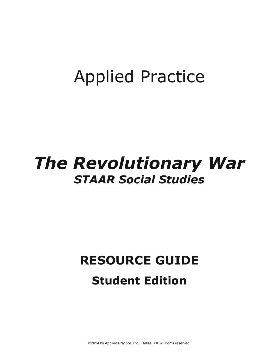## **Applied Practice**

## **The Revolutionary War STAAR Social Studies**

## **RESOURCE GUIDE Student Edition**

©2014 by Applied Practice, Ltd., Dallas, TX. All rights reserved.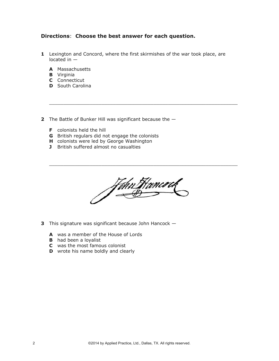## **Directions**: **Choose the best answer for each question.**

**1** Lexington and Concord, where the first skirmishes of the war took place, are located in —

 $\overline{\phantom{a}}$  ,  $\overline{\phantom{a}}$  ,  $\overline{\phantom{a}}$  ,  $\overline{\phantom{a}}$  ,  $\overline{\phantom{a}}$  ,  $\overline{\phantom{a}}$  ,  $\overline{\phantom{a}}$  ,  $\overline{\phantom{a}}$  ,  $\overline{\phantom{a}}$  ,  $\overline{\phantom{a}}$  ,  $\overline{\phantom{a}}$  ,  $\overline{\phantom{a}}$  ,  $\overline{\phantom{a}}$  ,  $\overline{\phantom{a}}$  ,  $\overline{\phantom{a}}$  ,  $\overline{\phantom{a}}$ 

- **A** Massachusetts
- **B** Virginia
- **C** Connecticut
- **D** South Carolina
- **2** The Battle of Bunker Hill was significant because the
	- **F** colonists held the hill
	- **G** British regulars did not engage the colonists
	- **H** colonists were led by George Washington
	- **J** British suffered almost no casualties

John Hancock

 $\overline{\phantom{a}}$  ,  $\overline{\phantom{a}}$  ,  $\overline{\phantom{a}}$  ,  $\overline{\phantom{a}}$  ,  $\overline{\phantom{a}}$  ,  $\overline{\phantom{a}}$  ,  $\overline{\phantom{a}}$  ,  $\overline{\phantom{a}}$  ,  $\overline{\phantom{a}}$  ,  $\overline{\phantom{a}}$  ,  $\overline{\phantom{a}}$  ,  $\overline{\phantom{a}}$  ,  $\overline{\phantom{a}}$  ,  $\overline{\phantom{a}}$  ,  $\overline{\phantom{a}}$  ,  $\overline{\phantom{a}}$ 

- **3** This signature was significant because John Hancock
	- **A** was a member of the House of Lords
	- **B** had been a loyalist
	- **C** was the most famous colonist
	- **D** wrote his name boldly and clearly